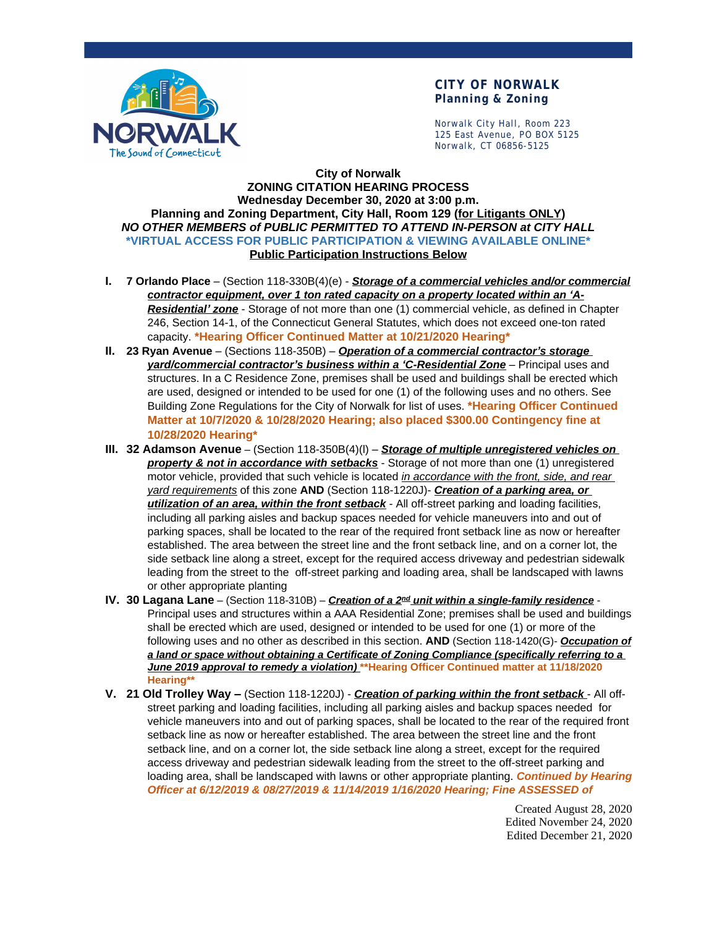

## **CITY OF NORWALK Planning & Zoning**

Norwalk City Hall, Room 223 125 East Avenue, PO BOX 5125 Norwalk, CT 06856-5125

#### **City of Norwalk ZONING CITATION HEARING PROCESS Wednesday December 30, 2020 at 3:00 p.m. Planning and Zoning Department, City Hall, Room 129 (for Litigants ONLY)** *NO OTHER MEMBERS of PUBLIC PERMITTED TO ATTEND IN-PERSON at CITY HALL* **\*VIRTUAL ACCESS FOR PUBLIC PARTICIPATION & VIEWING AVAILABLE ONLINE\* Public Participation Instructions Below**

- **I. 7 Orlando Place**  (Section 118-330B(4)(e) *Storage of a commercial vehicles and/or commercial* contractor equipment, over 1 ton rated capacity on a property located within an 'A-*Residential' zone* - Storage of not more than one (1) commercial vehicle, as defined in Chapter 246, Section 14-1, of the Connecticut General Statutes, which does not exceed one-ton rated capacity. **\*Hearing Officer Continued Matter at 10/21/2020 Hearing\***
- **II. 23 Ryan Avenue** (Sections 118-350B) *Operation of a commercial contractor's storage yard/commercial contractor's business within a 'C-Residential Zone* – Principal uses and structures. In a C Residence Zone, premises shall be used and buildings shall be erected which are used, designed or intended to be used for one (1) of the following uses and no others. See Building Zone Regulations for the City of Norwalk for list of uses. **\*Hearing Officer Continued Matter at 10/7/2020 & 10/28/2020 Hearing; also placed \$300.00 Contingency fine at 10/28/2020 Hearing\***
- **III. 32 Adamson Avenue** (Section 118-350B(4)(l) *Storage of multiple unregistered vehicles on property & not in accordance with setbacks* - Storage of not more than one (1) unregistered motor vehicle, provided that such vehicle is located *in accordance with the front, side, and rear yard requirements* of this zone **AND** (Section 118-1220J)- *Creation of a parking area, or utilization of an area, within the front setback* - All off-street parking and loading facilities, including all parking aisles and backup spaces needed for vehicle maneuvers into and out of parking spaces, shall be located to the rear of the required front setback line as now or hereafter established. The area between the street line and the front setback line, and on a corner lot, the side setback line along a street, except for the required access driveway and pedestrian sidewalk leading from the street to the off-street parking and loading area, shall be landscaped with lawns or other appropriate planting
- **IV. 30 Lagana Lane** (Section 118-310B) *Creation of a 2nd unit within a single-family residence* Principal uses and structures within a AAA Residential Zone; premises shall be used and buildings shall be erected which are used, designed or intended to be used for one (1) or more of the following uses and no other as described in this section. **AND** (Section 118-1420(G)- *Occupation of a land or space without obtaining a Certificate of Zoning Compliance (specifically referring to a June 2019 approval to remedy a violation)* **\*\*Hearing Officer Continued matter at 11/18/2020 Hearing\*\***
- **V. 21 Old Trolley Way –** (Section 118-1220J) *Creation of parking within the front setback* All offstreet parking and loading facilities, including all parking aisles and backup spaces needed for vehicle maneuvers into and out of parking spaces, shall be located to the rear of the required front setback line as now or hereafter established. The area between the street line and the front setback line, and on a corner lot, the side setback line along a street, except for the required access driveway and pedestrian sidewalk leading from the street to the off-street parking and loading area, shall be landscaped with lawns or other appropriate planting. *Continued by Hearing Officer at 6/12/2019 & 08/27/2019 & 11/14/2019 1/16/2020 Hearing; Fine ASSESSED of*

Created August 28, 2020 Edited November 24, 2020 Edited December 21, 2020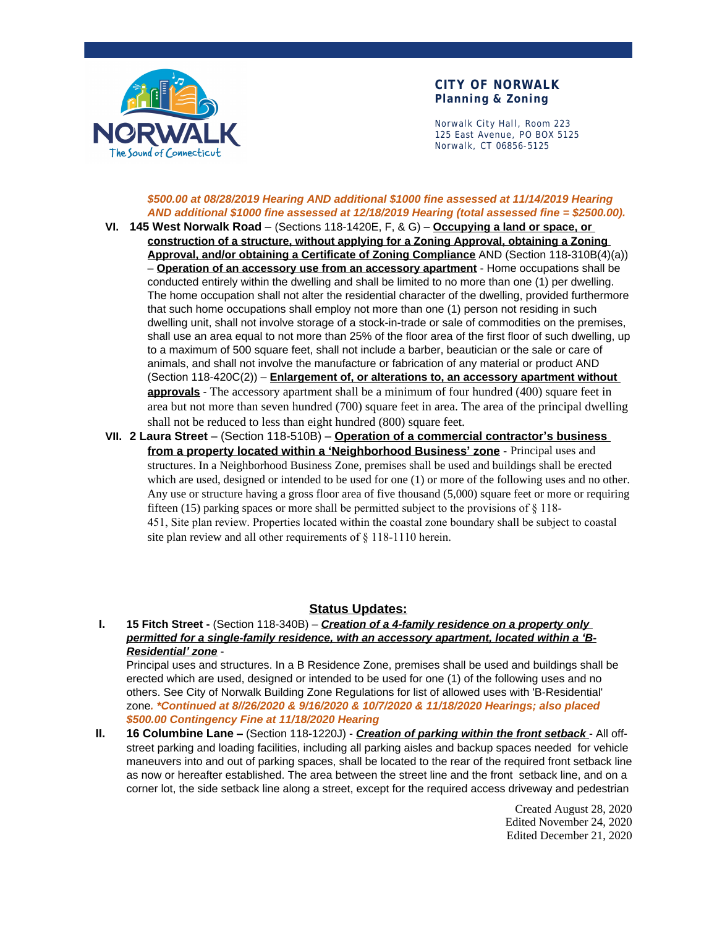

## **CITY OF NORWALK Planning & Zoning**

Norwalk City Hall, Room 223 125 East Avenue, PO BOX 5125 Norwalk, CT 06856-5125

### *\$500.00 at 08/28/2019 Hearing AND additional \$1000 fine assessed at 11/14/2019 Hearing AND additional \$1000 fine assessed at 12/18/2019 Hearing (total assessed fine = \$2500.00).*

- **VI. 145 West Norwalk Road** (Sections 118-1420E, F, & G) **Occupying a land or space, or construction of a structure, without applying for a Zoning Approval, obtaining a Zoning Approval, and/or obtaining a Certificate of Zoning Compliance** AND (Section 118-310B(4)(a)) – **Operation of an accessory use from an accessory apartment** - Home occupations shall be conducted entirely within the dwelling and shall be limited to no more than one (1) per dwelling. The home occupation shall not alter the residential character of the dwelling, provided furthermore that such home occupations shall employ not more than one (1) person not residing in such dwelling unit, shall not involve storage of a stock-in-trade or sale of commodities on the premises, shall use an area equal to not more than 25% of the floor area of the first floor of such dwelling, up to a maximum of 500 square feet, shall not include a barber, beautician or the sale or care of animals, and shall not involve the manufacture or fabrication of any material or product AND (Section 118-420C(2)) – **Enlargement of, or alterations to, an accessory apartment without approvals** - The accessory apartment shall be a minimum of four hundred (400) square feet in area but not more than seven hundred (700) square feet in area. The area of the principal dwelling shall not be reduced to less than eight hundred (800) square feet.
- **VII. 2 Laura Street** (Section 118-510B) **Operation of a commercial contractor's business from a property located within a 'Neighborhood Business' zone** - Principal uses and structures. In a Neighborhood Business Zone, premises shall be used and buildings shall be erected which are used, designed or intended to be used for one (1) or more of the following uses and no other. Any use or structure having a gross floor area of five thousand (5,000) square feet or more or requiring fifteen (15) parking spaces or more shall be permitted subject to the provisions of  $\S$  118-451, Site plan review. Properties located within the coastal zone boundary shall be subject to coastal site plan review and all other requirements of § 118-1110 herein.

#### **Status Updates:**

**I. 15 Fitch Street -** (Section 118-340B) – *Creation of a 4-family residence on a property only* permitted for a single-family residence, with an accessory apartment, located within a 'B-*Residential' zone* -

Principal uses and structures. In a B Residence Zone, premises shall be used and buildings shall be erected which are used, designed or intended to be used for one (1) of the following uses and no others. See City of Norwalk Building Zone Regulations for list of allowed uses with 'B-Residential' zone*. \*Continued at 8//26/2020 & 9/16/2020 & 10/7/2020 & 11/18/2020 Hearings; also placed \$500.00 Contingency Fine at 11/18/2020 Hearing*

**II. 16 Columbine Lane –** (Section 118-1220J) - *Creation of parking within the front setback* - All offstreet parking and loading facilities, including all parking aisles and backup spaces needed for vehicle maneuvers into and out of parking spaces, shall be located to the rear of the required front setback line as now or hereafter established. The area between the street line and the front setback line, and on a corner lot, the side setback line along a street, except for the required access driveway and pedestrian

> Created August 28, 2020 Edited November 24, 2020 Edited December 21, 2020